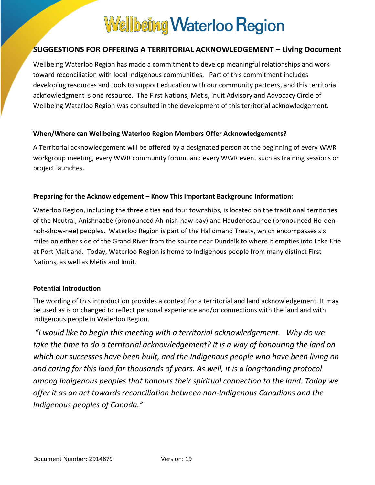# **Wellbeing Waterloo Region**

### **SUGGESTIONS FOR OFFERING A TERRITORIAL ACKNOWLEDGEMENT – Living Document**

Wellbeing Waterloo Region has made a commitment to develop meaningful relationships and work toward reconciliation with local Indigenous communities. Part of this commitment includes developing resources and tools to support education with our community partners, and this territorial acknowledgment is one resource. The First Nations, Metis, Inuit Advisory and Advocacy Circle of Wellbeing Waterloo Region was consulted in the development of this territorial acknowledgement.

#### **When/Where can Wellbeing Waterloo Region Members Offer Acknowledgements?**

A Territorial acknowledgement will be offered by a designated person at the beginning of every WWR workgroup meeting, every WWR community forum, and every WWR event such as training sessions or project launches.

#### **Preparing for the Acknowledgement – Know This Important Background Information:**

Waterloo Region, including the three cities and four townships, is located on the traditional territories of the Neutral, Anishnaabe (pronounced Ah-nish-naw-bay) and Haudenosaunee (pronounced Ho-dennoh-show-nee) peoples. Waterloo Region is part of the Halidmand Treaty, which encompasses six miles on either side of the Grand River from the source near Dundalk to where it empties into Lake Erie at Port Maitland. Today, Waterloo Region is home to Indigenous people from many distinct First Nations, as well as Métis and Inuit.

#### **Potential Introduction**

The wording of this introduction provides a context for a territorial and land acknowledgement. It may be used as is or changed to reflect personal experience and/or connections with the land and with Indigenous people in Waterloo Region.

*"I would like to begin this meeting with a territorial acknowledgement. Why do we take the time to do a territorial acknowledgement? It is a way of honouring the land on which our successes have been built, and the Indigenous people who have been living on and caring for this land for thousands of years. As well, it is a longstanding protocol among Indigenous peoples that honours their spiritual connection to the land. Today we offer it as an act towards reconciliation between non-Indigenous Canadians and the Indigenous peoples of Canada."*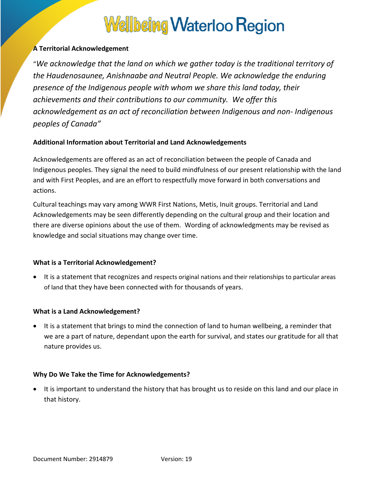### **Wellbeing Waterloo Region**

#### **A Territorial Acknowledgement**

"*We acknowledge that the land on which we gather today is the traditional territory of the Haudenosaunee, Anishnaabe and Neutral People. We acknowledge the enduring presence of the Indigenous people with whom we share this land today, their achievements and their contributions to our community. We offer this acknowledgement as an act of reconciliation between Indigenous and non- Indigenous peoples of Canada"*

#### **Additional Information about Territorial and Land Acknowledgements**

Acknowledgements are offered as an act of reconciliation between the people of Canada and Indigenous peoples. They signal the need to build mindfulness of our present relationship with the land and with First Peoples, and are an effort to respectfully move forward in both conversations and actions.

Cultural teachings may vary among WWR First Nations, Metis, Inuit groups. Territorial and Land Acknowledgements may be seen differently depending on the cultural group and their location and there are diverse opinions about the use of them. Wording of acknowledgments may be revised as knowledge and social situations may change over time.

#### **What is a Territorial Acknowledgement?**

 It is a statement that recognizes and respects original nations and their relationships to particular areas of land that they have been connected with for thousands of years.

#### **What is a Land Acknowledgement?**

 It is a statement that brings to mind the connection of land to human wellbeing, a reminder that we are a part of nature, dependant upon the earth for survival, and states our gratitude for all that nature provides us.

#### **Why Do We Take the Time for Acknowledgements?**

• It is important to understand the history that has brought us to reside on this land and our place in that history.